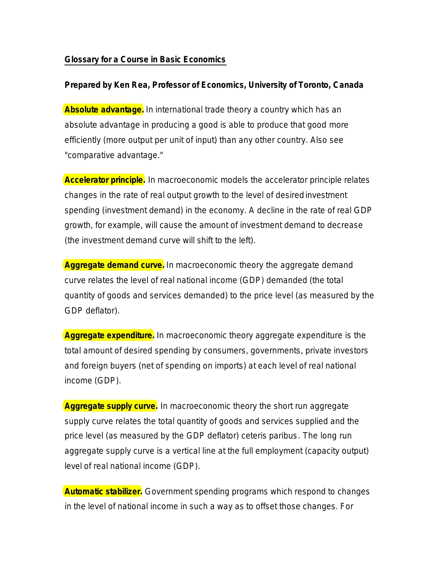## **Glossary for a Course in Basic Economics**

## **Prepared by Ken Rea, Professor of Economics, University of Toronto, Canada**

**Absolute advantage.** In international trade theory a country which has an absolute advantage in producing a good is able to produce that good more efficiently (more output per unit of input) than any other country. Also see "comparative advantage."

**Accelerator principle.** In macroeconomic models the accelerator principle relates changes in the rate of real output growth to the level of desired investment spending (investment demand) in the economy. A decline in the rate of real GDP growth, for example, will cause the amount of investment demand to decrease (the investment demand curve will shift to the left).

**Aggregate demand curve.** In macroeconomic theory the aggregate demand curve relates the level of real national income (GDP) demanded (the total quantity of goods and services demanded) to the price level (as measured by the GDP deflator).

**Aggregate expenditure.** In macroeconomic theory aggregate expenditure is the total amount of desired spending by consumers, governments, private investors and foreign buyers (net of spending on imports) at each level of real national income (GDP).

**Aggregate supply curve.** In macroeconomic theory the short run aggregate supply curve relates the total quantity of goods and services supplied and the price level (as measured by the GDP deflator) *ceteris paribus*. The long run aggregate supply curve is a vertical line at the full employment (capacity output) level of real national income (GDP).

**Automatic stabilizer.** Government spending programs which respond to changes in the level of national income in such a way as to offset those changes. For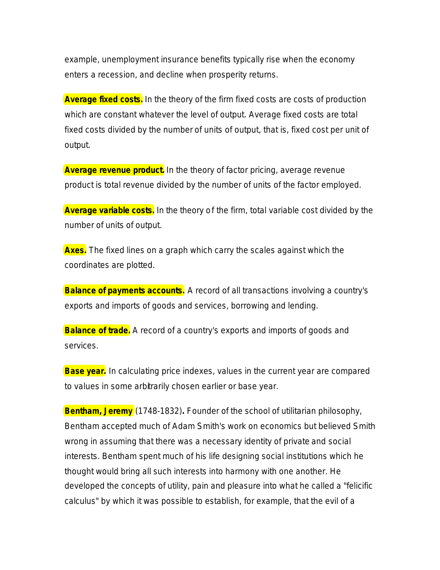example, unemployment insurance benefits typically rise when the economy enters a recession, and decline when prosperity returns.

**Average fixed costs.** In the theory of the firm fixed costs are costs of production which are constant whatever the level of output. Average fixed costs are total fixed costs divided by the number of units of output, that is, fixed cost per unit of output.

**Average revenue product.** In the theory of factor pricing, average revenue product is total revenue divided by the number of units of the factor employed.

**Average variable costs.** In the theory of the firm, total variable cost divided by the number of units of output.

**Axes.** The fixed lines on a graph which carry the scales against which the coordinates are plotted.

**Balance of payments accounts.** A record of all transactions involving a country's exports and imports of goods and services, borrowing and lending.

**Balance of trade.** A record of a country's exports and imports of goods and services.

**Base year.** In calculating price indexes, values in the current year are compared to values in some arbitrarily chosen earlier or base year.

**Bentham, Jeremy** (1748-1832)**.** Founder of the school of utilitarian philosophy, Bentham accepted much of Adam Smith's work on economics but believed Smith wrong in assuming that there was a necessary identity of private and social interests. Bentham spent much of his life designing social institutions which he thought would bring all such interests into harmony with one another. He developed the concepts of utility, pain and pleasure into what he called a "felicific calculus" by which it was possible to establish, for example, that the evil of a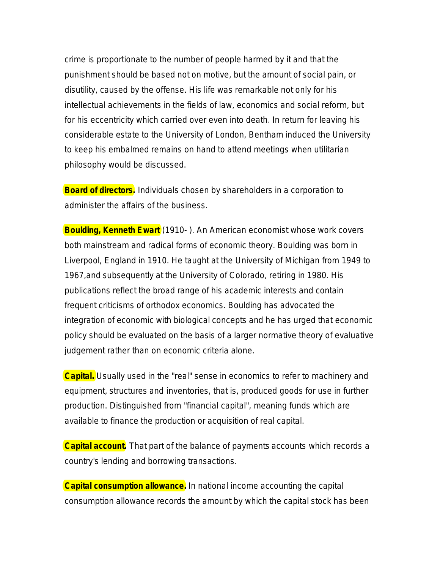crime is proportionate to the number of people harmed by it and that the punishment should be based not on motive, but the amount of social pain, or disutility, caused by the offense. His life was remarkable not only for his intellectual achievements in the fields of law, economics and social reform, but for his eccentricity which carried over even into death. In return for leaving his considerable estate to the University of London, Bentham induced the University to keep his embalmed remains on hand to attend meetings when utilitarian philosophy would be discussed.

**Board of directors.** Individuals chosen by shareholders in a corporation to administer the affairs of the business.

**Boulding, Kenneth Ewart** (1910-). An American economist whose work covers both mainstream and radical forms of economic theory. Boulding was born in Liverpool, England in 1910. He taught at the University of Michigan from 1949 to 1967,and subsequently at the University of Colorado, retiring in 1980. His publications reflect the broad range of his academic interests and contain frequent criticisms of orthodox economics. Boulding has advocated the integration of economic with biological concepts and he has urged that economic policy should be evaluated on the basis of a larger normative theory of evaluative judgement rather than on economic criteria alone.

**Capital.** Usually used in the "real" sense in economics to refer to machinery and equipment, structures and inventories, that is, produced goods for use in further production. Distinguished from "financial capital", meaning funds which are available to finance the production or acquisition of real capital.

**Capital account.** That part of the balance of payments accounts which records a country's lending and borrowing transactions.

**Capital consumption allowance.** In national income accounting the capital consumption allowance records the amount by which the capital stock has been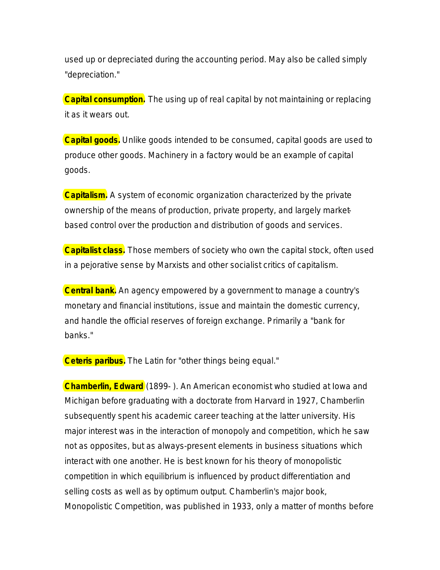used up or depreciated during the accounting period. May also be called simply "depreciation."

**Capital consumption.** The using up of real capital by not maintaining or replacing it as it wears out.

**Capital goods.** Unlike goods intended to be consumed, capital goods are used to produce other goods. Machinery in a factory would be an example of capital goods.

**Capitalism.** A system of economic organization characterized by the private ownership of the means of production, private property, and largely marketbased control over the production and distribution of goods and services.

**Capitalist class.** Those members of society who own the capital stock, often used in a pejorative sense by Marxists and other socialist critics of capitalism.

**Central bank.** An agency empowered by a government to manage a country's monetary and financial institutions, issue and maintain the domestic currency, and handle the official reserves of foreign exchange. Primarily a "bank for banks."

**Ceteris paribus.** The Latin for "other things being equal."

**Chamberlin, Edward** (1899- ). An American economist who studied at Iowa and Michigan before graduating with a doctorate from Harvard in 1927, Chamberlin subsequently spent his academic career teaching at the latter university. His major interest was in the interaction of monopoly and competition, which he saw not as opposites, but as always-present elements in business situations which interact with one another. He is best known for his theory of monopolistic competition in which equilibrium is influenced by product differentiation and selling costs as well as by optimum output. Chamberlin's major book, *Monopolistic Competition,* was published in 1933, only a matter of months before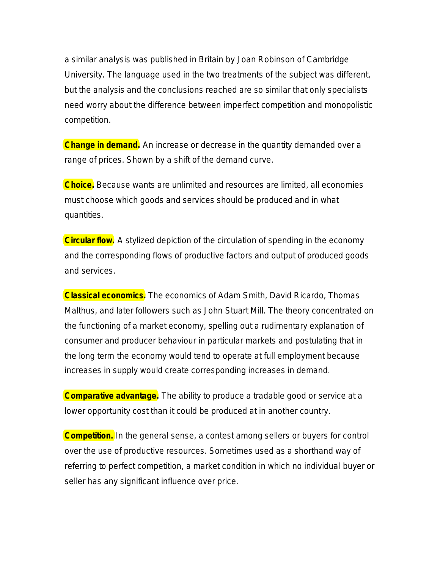a similar analysis was published in Britain by Joan Robinson of Cambridge University. The language used in the two treatments of the subject was different, but the analysis and the conclusions reached are so similar that only specialists need worry about the difference between imperfect competition and monopolistic competition.

**Change in demand.** An increase or decrease in the quantity demanded over a range of prices. Shown by a shift of the demand curve.

**Choice.** Because wants are unlimited and resources are limited, all economies must choose which goods and services should be produced and in what quantities.

**Circular flow.** A stylized depiction of the circulation of spending in the economy and the corresponding flows of productive factors and output of produced goods and services.

**Classical economics.** The economics of Adam Smith, David Ricardo, Thomas Malthus, and later followers such as John Stuart Mill. The theory concentrated on the functioning of a market economy, spelling out a rudimentary explanation of consumer and producer behaviour in particular markets and postulating that in the long term the economy would tend to operate at full employment because increases in supply would create corresponding increases in demand.

**Comparative advantage.** The ability to produce a tradable good or service at a lower opportunity cost than it could be produced at in another country.

**Competition.** In the general sense, a contest among sellers or buyers for control over the use of productive resources. Sometimes used as a shorthand way of referring to perfect competition, a market condition in which no individual buyer or seller has any significant influence over price.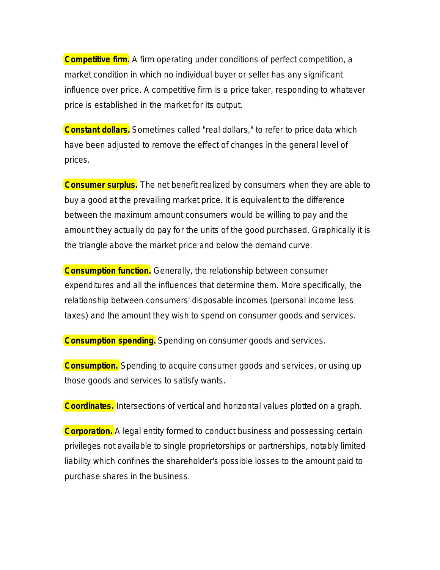**Competitive firm.** A firm operating under conditions of perfect competition, a market condition in which no individual buyer or seller has any significant influence over price. A competitive firm is a price taker, responding to whatever price is established in the market for its output.

**Constant dollars.** Sometimes called "real dollars," to refer to price data which have been adjusted to remove the effect of changes in the general level of prices.

**Consumer surplus.** The net benefit realized by consumers when they are able to buy a good at the prevailing market price. It is equivalent to the difference between the maximum amount consumers would be willing to pay and the amount they actually do pay for the units of the good purchased. Graphically it is the triangle above the market price and below the demand curve.

**Consumption function.** Generally, the relationship between consumer expenditures and all the influences that determine them. More specifically, the relationship between consumers' disposable incomes (personal income less taxes) and the amount they wish to spend on consumer goods and services.

**Consumption spending.** Spending on consumer goods and services.

**Consumption.** Spending to acquire consumer goods and services, or using up those goods and services to satisfy wants.

**Coordinates.** Intersections of vertical and horizontal values plotted on a graph.

**Corporation.** A legal entity formed to conduct business and possessing certain privileges not available to single proprietorships or partnerships, notably limited liability which confines the shareholder's possible losses to the amount paid to purchase shares in the business.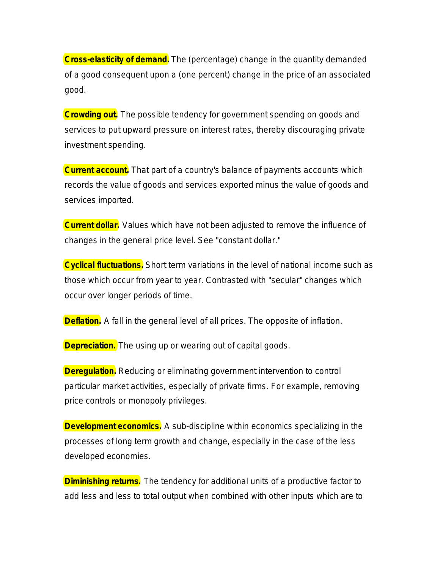**Cross-elasticity of demand.** The (percentage) change in the quantity demanded of a good consequent upon a (one percent) change in the price of an associated good.

**Crowding out.** The possible tendency for government spending on goods and services to put upward pressure on interest rates, thereby discouraging private investment spending.

**Current account.** That part of a country's balance of payments accounts which records the value of goods and services exported minus the value of goods and services imported.

**Current dollar.** Values which have not been adjusted to remove the influence of changes in the general price level. See "constant dollar."

**Cyclical fluctuations.** Short term variations in the level of national income such as those which occur from year to year. Contrasted with "secular" changes which occur over longer periods of time.

**Deflation.** A fall in the general level of all prices. The opposite of inflation.

**Depreciation.** The using up or wearing out of capital goods.

**Deregulation.** Reducing or eliminating government intervention to control particular market activities, especially of private firms. For example, removing price controls or monopoly privileges.

**Development economics.** A sub-discipline within economics specializing in the processes of long term growth and change, especially in the case of the less developed economies.

**Diminishing returns.** The tendency for additional units of a productive factor to add less and less to total output when combined with other inputs which are to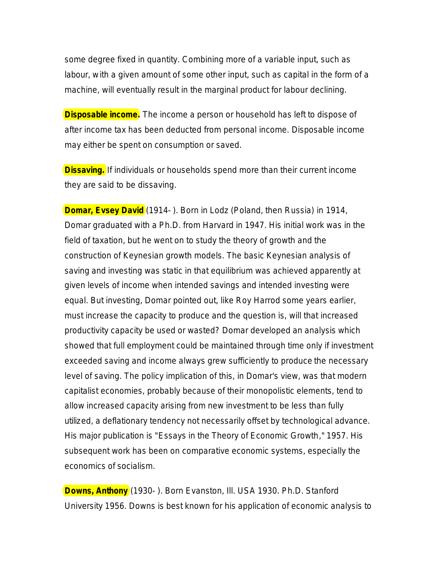some degree fixed in quantity. Combining more of a variable input, such as labour, with a given amount of some other input, such as capital in the form of a machine, will eventually result in the marginal product for labour declining.

**Disposable income.** The income a person or household has left to dispose of after income tax has been deducted from personal income. Disposable income may either be spent on consumption or saved.

**Dissaving.** If individuals or households spend more than their current income they are said to be dissaving.

**Domar, Evsey David** (1914- ). Born in Lodz (Poland, then Russia) in 1914, Domar graduated with a Ph.D. from Harvard in 1947. His initial work was in the field of taxation, but he went on to study the theory of growth and the construction of Keynesian growth models. The basic Keynesian analysis of saving and investing was static in that equilibrium was achieved apparently at given levels of income when intended savings and intended investing were equal. But investing, Domar pointed out, like Roy Harrod some years earlier, must increase the capacity to produce and the question is, will that increased productivity capacity be used or wasted? Domar developed an analysis which showed that full employment could be maintained through time only if investment exceeded saving and income always grew sufficiently to produce the necessary level of saving. The policy implication of this, in Domar's view, was that modern capitalist economies, probably because of their monopolistic elements, tend to allow increased capacity arising from new investment to be less than fully utilized, a deflationary tendency not necessarily offset by technological advance. His major publication is "*Essays in the Theory of Economic Growth*," 1957. His subsequent work has been on comparative economic systems, especially the economics of socialism.

**Downs, Anthony** (1930- ). Born Evanston, Ill. USA 1930. Ph.D. Stanford University 1956. Downs is best known for his application of economic analysis to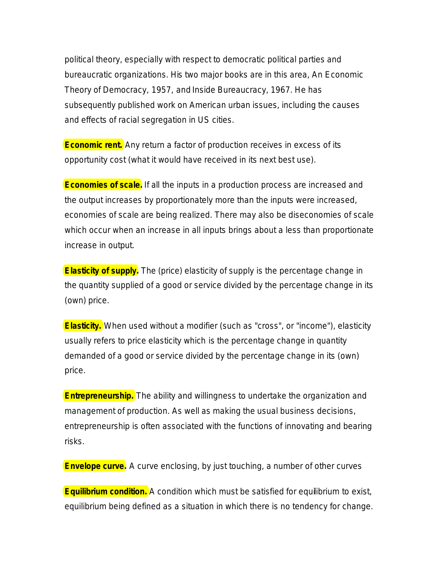political theory, especially with respect to democratic political parties and bureaucratic organizations. His two major books are in this area, *An Economic Theory of Democracy*, 1957, and *Inside Bureaucracy*, 1967. He has subsequently published work on American urban issues, including the causes and effects of racial segregation in US cities.

**Economic rent.** Any return a factor of production receives in excess of its opportunity cost (what it would have received in its next best use).

**Economies of scale.** If *all* the inputs in a production process are increased and the output increases by proportionately more than the inputs were increased, economies of scale are being realized. There may also be diseconomies of scale which occur when an increase in all inputs brings about a less than proportionate increase in output.

**Elasticity of supply.** The (price) elasticity of supply is the percentage change in the quantity supplied of a good or service divided by the percentage change in its (own) price.

**Elasticity.** When used without a modifier (such as "cross", or "income"), elasticity usually refers to price elasticity which is the percentage change in quantity demanded of a good or service divided by the percentage change in its (own) price.

**Entrepreneurship.** The ability and willingness to undertake the organization and management of production. As well as making the usual business decisions, entrepreneurship is often associated with the functions of innovating and bearing risks.

**Envelope curve.** A curve enclosing, by just touching, a number of other curves

**Equilibrium condition.** A condition which must be satisfied for equilibrium to exist, equilibrium being defined as a situation in which there is no tendency for change.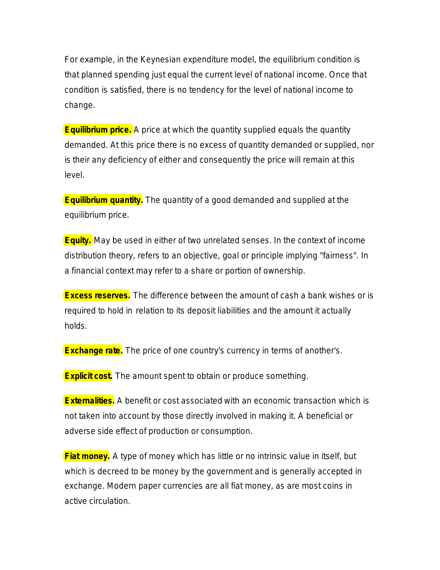For example, in the Keynesian expenditure model, the equilibrium condition is that planned spending just equal the current level of national income. Once that condition is satisfied, there is no tendency for the level of national income to change.

**Equilibrium price.** A price at which the quantity supplied equals the quantity demanded. At this price there is no excess of quantity demanded or supplied, nor is their any deficiency of either and consequently the price will remain at this level.

**Equilibrium quantity.** The quantity of a good demanded and supplied at the equilibrium price.

**Equity.** May be used in either of two unrelated senses. In the context of income distribution theory, refers to an objective, goal or principle implying "fairness". In a financial context may refer to a share or portion of ownership.

**Excess reserves.** The difference between the amount of cash a bank wishes or is required to hold in relation to its deposit liabilities and the amount it actually holds.

**Exchange rate.** The price of one country's currency in terms of another's.

**Explicit cost.** The amount spent to obtain or produce something.

**Externalities.** A benefit or cost associated with an economic transaction which is not taken into account by those directly involved in making it. A beneficial or adverse side effect of production or consumption.

**Fiat money.** A type of money which has little or no intrinsic value in itself, but which is decreed to be money by the government and is generally accepted in exchange. Modern paper currencies are all fiat money, as are most coins in active circulation.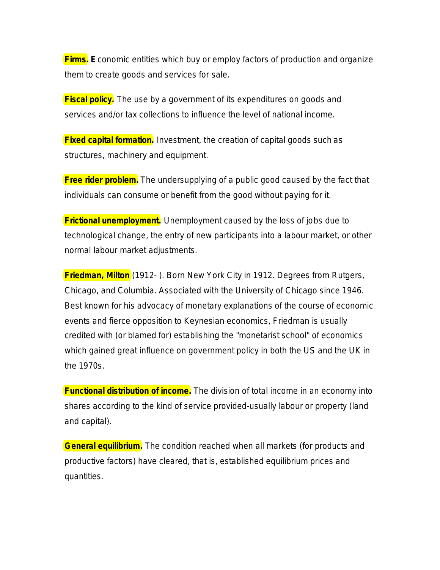**Firms. E**conomic entities which buy or employ factors of production and organize them to create goods and services for sale.

**Fiscal policy.** The use by a government of its expenditures on goods and services and/or tax collections to influence the level of national income.

**Fixed capital formation.** Investment, the creation of capital goods such as structures, machinery and equipment.

**Free rider problem.** The undersupplying of a public good caused by the fact that individuals can consume or benefit from the good without paying for it.

**Frictional unemployment.** Unemployment caused by the loss of jobs due to technological change, the entry of new participants into a labour market, or other normal labour market adjustments.

**Friedman, Milton** (1912- ). Born New York City in 1912. Degrees from Rutgers, Chicago, and Columbia. Associated with the University of Chicago since 1946. Best known for his advocacy of monetary explanations of the course of economic events and fierce opposition to Keynesian economics, Friedman is usually credited with (or blamed for) establishing the "monetarist school" of economics which gained great influence on government policy in both the US and the UK in the 1970s.

**Functional distribution of income.** The division of total income in an economy into shares according to the kind of service provided-usually labour or property (land and capital).

**General equilibrium.** The condition reached when all markets (for products and productive factors) have cleared, that is, established equilibrium prices and quantities.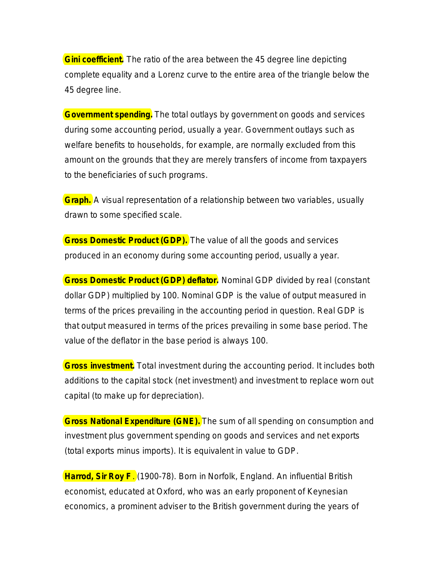**Gini coefficient.** The ratio of the area between the 45 degree line depicting complete equality and a Lorenz curve to the entire area of the triangle below the 45 degree line.

**Government spending.** The total outlays by government on goods and services during some accounting period, usually a year. Government outlays such as welfare benefits to households, for example, are normally excluded from this amount on the grounds that they are merely transfers of income from taxpayers to the beneficiaries of such programs.

**Graph.** A visual representation of a relationship between two variables, usually drawn to some specified scale.

**Gross Domestic Product (GDP).** The value of all the goods and services produced in an economy during some accounting period, usually a year.

**Gross Domestic Product (GDP) deflator.** Nominal GDP divided by real (constant dollar GDP) multiplied by 100. Nominal GDP is the value of output measured in terms of the prices prevailing in the accounting period in question. Real GDP is that output measured in terms of the prices prevailing in some base period. The value of the deflator in the base period is always 100.

**Gross investment.** Total investment during the accounting period. It includes both additions to the capital stock (net investment) and investment to replace worn out capital (to make up for depreciation).

**Gross National Expenditure (GNE).** The sum of all spending on consumption and investment plus government spending on goods and services and net exports (total exports minus imports). It is equivalent in value to GDP.

**Harrod, Sir Roy F**. (1900-78). Born in Norfolk, England. An influential British economist, educated at Oxford, who was an early proponent of Keynesian economics, a prominent adviser to the British government during the years of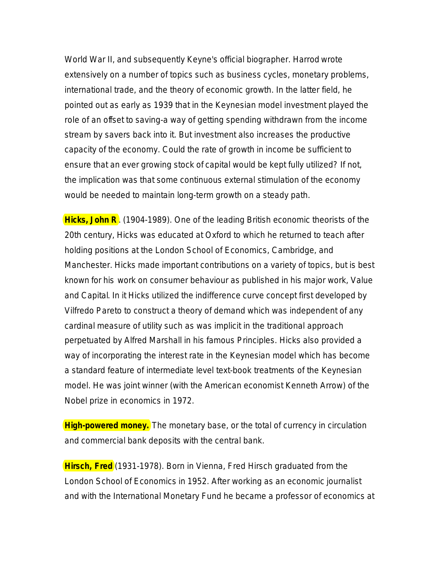World War II, and subsequently Keyne's official biographer. Harrod wrote extensively on a number of topics such as business cycles, monetary problems, international trade, and the theory of economic growth. In the latter field, he pointed out as early as 1939 that in the Keynesian model investment played the role of an offset to saving-a way of getting spending withdrawn from the income stream by savers back into it. But investment also increases the productive capacity of the economy. Could the rate of growth in income be sufficient to ensure that an ever growing stock of capital would be kept fully utilized? If not, the implication was that some continuous external stimulation of the economy would be needed to maintain long-term growth on a steady path.

**Hicks, John R**. (1904-1989). One of the leading British economic theorists of the 20th century, Hicks was educated at Oxford to which he returned to teach after holding positions at the London School of Economics, Cambridge, and Manchester. Hicks made important contributions on a variety of topics, but is best known for his work on consumer behaviour as published in his major work, *Value and Capital*. In it Hicks utilized the indifference curve concept first developed by Vilfredo Pareto to construct a theory of demand which was independent of any cardinal measure of utility such as was implicit in the traditional approach perpetuated by Alfred Marshall in his famous *Principles*. Hicks also provided a way of incorporating the interest rate in the Keynesian model which has become a standard feature of intermediate level text-book treatments of the Keynesian model. He was joint winner (with the American economist Kenneth Arrow) of the Nobel prize in economics in 1972.

**High-powered money.** The monetary base, or the total of currency in circulation and commercial bank deposits with the central bank.

**Hirsch, Fred** (1931-1978). Born in Vienna, Fred Hirsch graduated from the London School of Economics in 1952. After working as an economic journalist and with the International Monetary Fund he became a professor of economics at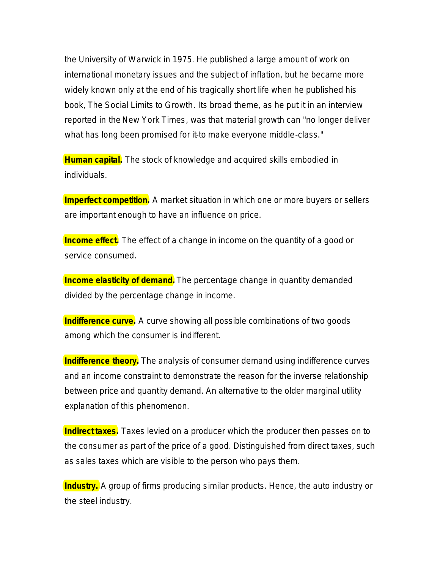the University of Warwick in 1975. He published a large amount of work on international monetary issues and the subject of inflation, but he became more widely known only at the end of his tragically short life when he published his book, *The Social Limits to Growth*. Its broad theme, as he put it in an interview reported in the *New York Times*, was that material growth can "no longer deliver what has long been promised for it-to make everyone middle-class."

**Human capital.** The stock of knowledge and acquired skills embodied in individuals.

**Imperfect competition.** A market situation in which one or more buyers or sellers are important enough to have an influence on price.

**Income effect.** The effect of a change in income on the quantity of a good or service consumed.

**Income elasticity of demand.** The percentage change in quantity demanded divided by the percentage change in income.

**Indifference curve.** A curve showing all possible combinations of two goods among which the consumer is indifferent.

**Indifference theory.** The analysis of consumer demand using indifference curves and an income constraint to demonstrate the reason for the inverse relationship between price and quantity demand. An alternative to the older marginal utility explanation of this phenomenon.

**Indirect taxes.** Taxes levied on a producer which the producer then passes on to the consumer as part of the price of a good. Distinguished from direct taxes, such as sales taxes which are visible to the person who pays them.

**Industry.** A group of firms producing similar products. Hence, the auto industry or the steel industry.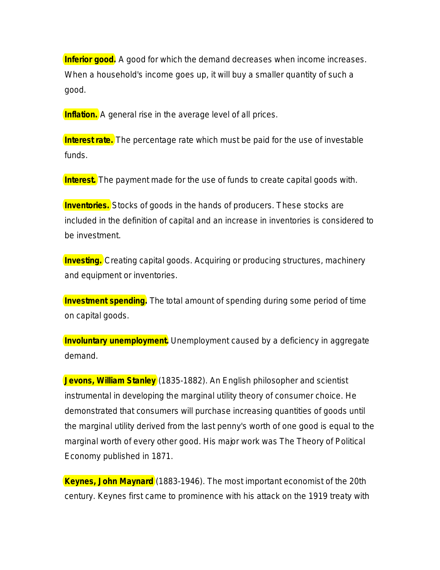**Inferior good.** A good for which the demand decreases when income increases. When a household's income goes up, it will buy a smaller quantity of such a good.

**Inflation.** A general rise in the average level of *all* prices.

**Interest rate.** The percentage rate which must be paid for the use of investable funds.

**Interest.** The payment made for the use of funds to create capital goods with.

**Inventories.** Stocks of goods in the hands of producers. These stocks are included in the definition of capital and an increase in inventories is considered to be investment.

**Investing.** Creating capital goods. Acquiring or producing structures, machinery and equipment or inventories.

**Investment spending.** The total amount of spending during some period of time on capital goods.

**Involuntary unemployment.** Unemployment caused by a deficiency in aggregate demand.

**Jevons, William Stanley** (1835-1882). An English philosopher and scientist instrumental in developing the marginal utility theory of consumer choice. He demonstrated that consumers will purchase increasing quantities of goods until the marginal utility derived from the last penny's worth of one good is equal to the marginal worth of every other good. His major work was *The Theory of Political Economy* published in 1871.

**Keynes, John Maynard** (1883-1946). The most important economist of the 20th century. Keynes first came to prominence with his attack on the 1919 treaty with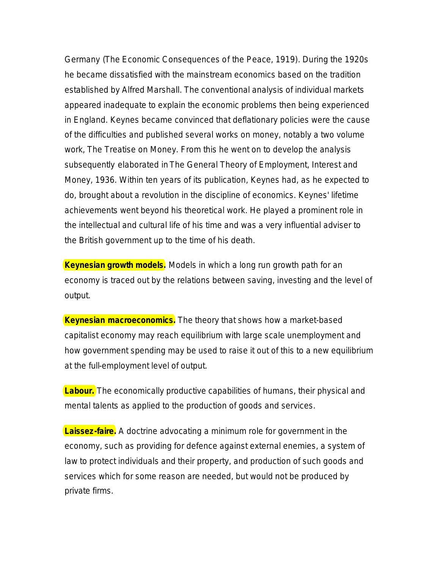Germany (*The Economic Consequences of the Peace*, 1919). During the 1920s he became dissatisfied with the mainstream economics based on the tradition established by Alfred Marshall. The conventional analysis of individual markets appeared inadequate to explain the economic problems then being experienced in England. Keynes became convinced that deflationary policies were the cause of the difficulties and published several works on money, notably a two volume work, *The Treatise on Money*. From this he went on to develop the analysis subsequently elaborated in *The General Theory of Employment, Interest and Money*, 1936. Within ten years of its publication, Keynes had, as he expected to do, brought about a revolution in the discipline of economics. Keynes' lifetime achievements went beyond his theoretical work. He played a prominent role in the intellectual and cultural life of his time and was a very influential adviser to the British government up to the time of his death.

**Keynesian growth models.** Models in which a long run growth path for an economy is traced out by the relations between saving, investing and the level of output.

**Keynesian macroeconomics.** The theory that shows how a market-based capitalist economy may reach equilibrium with large scale unemployment and how government spending may be used to raise it out of this to a new equilibrium at the full-employment level of output.

**Labour.** The economically productive capabilities of humans, their physical and mental talents as applied to the production of goods and services.

**Laissez-faire.** A doctrine advocating a minimum role for government in the economy, such as providing for defence against external enemies, a system of law to protect individuals and their property, and production of such goods and services which for some reason are needed, but would not be produced by private firms.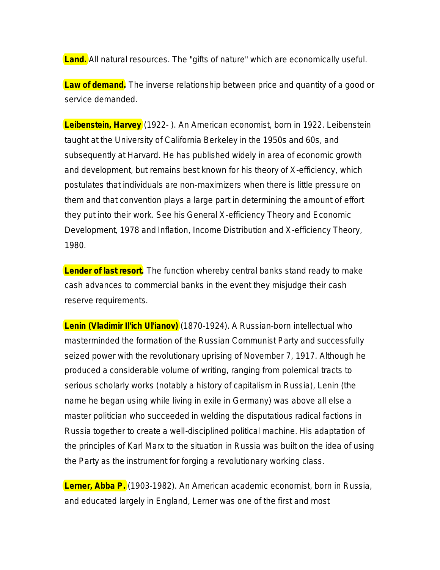**Land.** All natural resources. The "gifts of nature" which are economically useful.

**Law of demand.** The inverse relationship between price and quantity of a good or service demanded.

**Leibenstein, Harvey** (1922- ). An American economist, born in 1922. Leibenstein taught at the University of California Berkeley in the 1950s and 60s, and subsequently at Harvard. He has published widely in area of economic growth and development, but remains best known for his theory of X-efficiency, which postulates that individuals are non-maximizers when there is little pressure on them and that convention plays a large part in determining the amount of effort they put into their work. See his *General X-efficiency Theory and Economic Development*, 1978 and *Inflation, Income Distribution and X-efficiency Theory*, 1980.

**Lender of last resort.** The function whereby central banks stand ready to make cash advances to commercial banks in the event they misjudge their cash reserve requirements.

**Lenin (Vladimir Il'ich Ul'ianov)** (1870-1924). A Russian-born intellectual who masterminded the formation of the Russian Communist Party and successfully seized power with the revolutionary uprising of November 7, 1917. Although he produced a considerable volume of writing, ranging from polemical tracts to serious scholarly works (notably a history of capitalism in Russia), Lenin (the name he began using while living in exile in Germany) was above all else a master politician who succeeded in welding the disputatious radical factions in Russia together to create a well-disciplined political machine. His adaptation of the principles of Karl Marx to the situation in Russia was built on the idea of using the Party as the instrument for forging a revolutionary working class.

**Lerner, Abba P.** (1903-1982). An American academic economist, born in Russia, and educated largely in England, Lerner was one of the first and most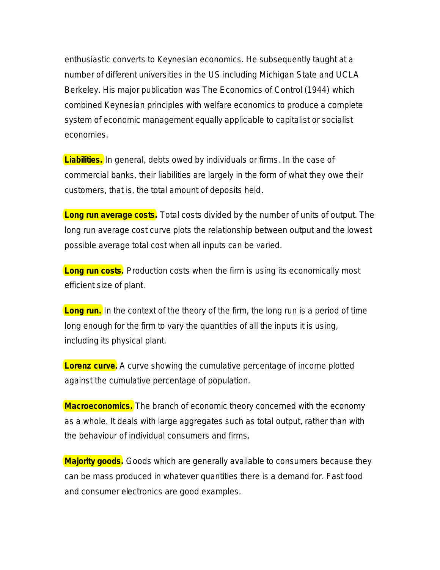enthusiastic converts to Keynesian economics. He subsequently taught at a number of different universities in the US including Michigan State and UCLA Berkeley. His major publication was *The Economics of Control* (1944) which combined Keynesian principles with welfare economics to produce a complete system of economic management equally applicable to capitalist or socialist economies.

**Liabilities.** In general, debts owed by individuals or firms. In the case of commercial banks, their liabilities are largely in the form of what they owe their customers, that is, the total amount of deposits held.

**Long run average costs.** Total costs divided by the number of units of output. The long run average cost curve plots the relationship between output and the lowest possible average total cost when all inputs can be varied.

**Long run costs.** Production costs when the firm is using its economically most efficient size of plant.

**Long run.** In the context of the theory of the firm, the long run is a period of time long enough for the firm to vary the quantities of all the inputs it is using, including its physical plant.

**Lorenz curve.** A curve showing the cumulative percentage of income plotted against the cumulative percentage of population.

**Macroeconomics.** The branch of economic theory concerned with the economy as a whole. It deals with large aggregates such as total output, rather than with the behaviour of individual consumers and firms.

**Majority goods.** Goods which are generally available to consumers because they can be mass produced in whatever quantities there is a demand for. Fast food and consumer electronics are good examples.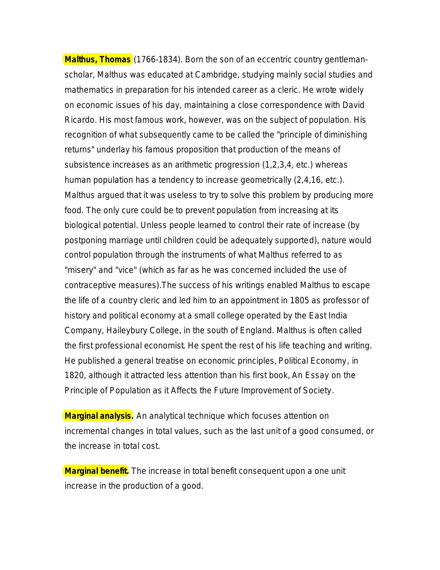**Malthus, Thomas** (1766-1834). Born the son of an eccentric country gentlemanscholar, Malthus was educated at Cambridge, studying mainly social studies and mathematics in preparation for his intended career as a cleric. He wrote widely on economic issues of his day, maintaining a close correspondence with David Ricardo. His most famous work, however, was on the subject of population. His recognition of what subsequently came to be called the "principle of diminishing returns" underlay his famous proposition that production of the means of subsistence increases as an arithmetic progression (1,2,3,4, etc.) whereas human population has a tendency to increase geometrically (2,4,16, etc.). Malthus argued that it was useless to try to solve this problem by producing more food. The only cure could be to prevent population from increasing at its biological potential. Unless people learned to control their rate of increase (by postponing marriage until children could be adequately supported), nature would control population through the instruments of what Malthus referred to as "misery" and "vice" (which as far as he was concerned included the use of contraceptive measures).The success of his writings enabled Malthus to escape the life of a country cleric and led him to an appointment in 1805 as professor of history and political economy at a small college operated by the East India Company, Haileybury College, in the south of England. Malthus is often called the first professional economist. He spent the rest of his life teaching and writing. He published a general treatise on economic principles, *Political Economy*, in 1820, although it attracted less attention than his first book, *An Essay on the Principle of Population as it Affects the Future Improvement of Society*.

**Marginal analysis.** An analytical technique which focuses attention on incremental changes in total values, such as the *last* unit of a good consumed, or the *increase* in total cost.

**Marginal benefit.** The increase in total benefit consequent upon a one unit increase in the production of a good.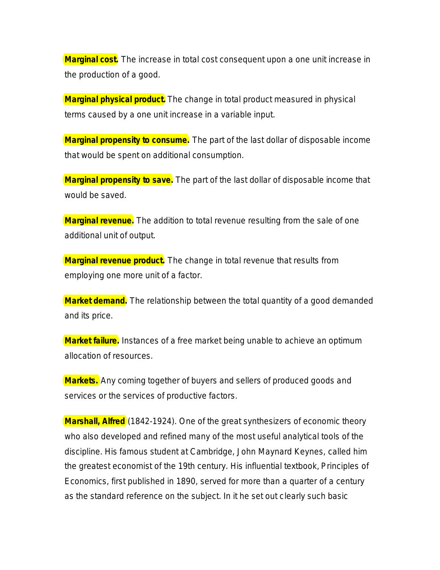**Marginal cost.** The increase in total cost consequent upon a one unit increase in the production of a good.

**Marginal physical product.** The change in total product measured in physical terms caused by a one unit increase in a variable input.

**Marginal propensity to consume.** The part of the last dollar of disposable income that would be spent on additional consumption.

**Marginal propensity to save.** The part of the last dollar of disposable income that would be saved.

**Marginal revenue.** The addition to total revenue resulting from the sale of one additional unit of output.

**Marginal revenue product.** The change in total revenue that results from employing one more unit of a factor.

**Market demand.** The relationship between the total quantity of a good demanded and its price.

**Market failure.** Instances of a free market being unable to achieve an optimum allocation of resources.

**Markets.** Any coming together of buyers and sellers of produced goods and services or the services of productive factors.

**Marshall, Alfred** (1842-1924). One of the great synthesizers of economic theory who also developed and refined many of the most useful analytical tools of the discipline. His famous student at Cambridge, John Maynard Keynes, called him the greatest economist of the 19th century. His influential textbook, *Principles of Economics*, first published in 1890, served for more than a quarter of a century as the standard reference on the subject. In it he set out clearly such basic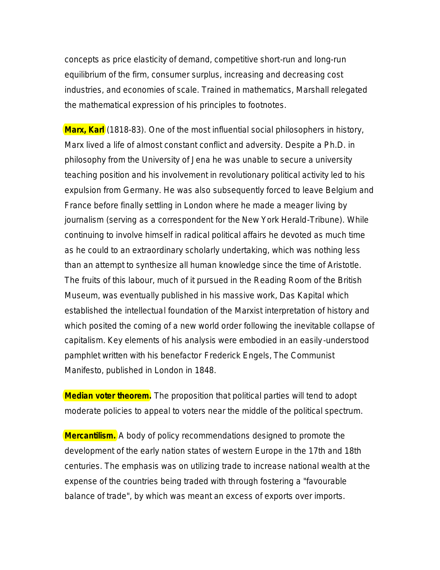concepts as price elasticity of demand, competitive short-run and long-run equilibrium of the firm, consumer surplus, increasing and decreasing cost industries, and economies of scale. Trained in mathematics, Marshall relegated the mathematical expression of his principles to footnotes.

**Marx, Karl** (1818-83). One of the most influential social philosophers in history, Marx lived a life of almost constant conflict and adversity. Despite a Ph.D. in philosophy from the University of Jena he was unable to secure a university teaching position and his involvement in revolutionary political activity led to his expulsion from Germany. He was also subsequently forced to leave Belgium and France before finally settling in London where he made a meager living by journalism (serving as a correspondent for the *New York Herald-Tribune*). While continuing to involve himself in radical political affairs he devoted as much time as he could to an extraordinary scholarly undertaking, which was nothing less than an attempt to synthesize all human knowledge since the time of Aristotle. The fruits of this labour, much of it pursued in the Reading Room of the British Museum, was eventually published in his massive work, *Das Kapital* which established the intellectual foundation of the Marxist interpretation of history and which posited the coming of a new world order following the inevitable collapse of capitalism. Key elements of his analysis were embodied in an easily -understood pamphlet written with his benefactor Frederick Engels, *The Communist Manifesto,* published in London in 1848.

**Median voter theorem.** The proposition that political parties will tend to adopt moderate policies to appeal to voters near the middle of the political spectrum.

**Mercantilism.** A body of policy recommendations designed to promote the development of the early nation states of western Europe in the 17th and 18th centuries. The emphasis was on utilizing trade to increase national wealth at the expense of the countries being traded with through fostering a "favourable balance of trade", by which was meant an excess of exports over imports.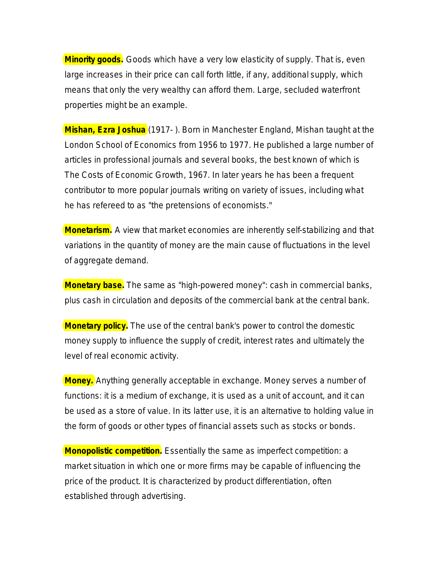**Minority goods.** Goods which have a very low elasticity of supply. That is, even large increases in their price can call forth little, if any, additional supply, which means that only the very wealthy can afford them. Large, secluded waterfront properties might be an example.

**Mishan, Ezra Joshua** (1917- ). Born in Manchester England, Mishan taught at the London School of Economics from 1956 to 1977. He published a large number of articles in professional journals and several books, the best known of which is *The Costs of Economic Growth*, 1967. In later years he has been a frequent contributor to more popular journals writing on variety of issues, including what he has refereed to as "the pretensions of economists."

**Monetarism.** A view that market economies are inherently self-stabilizing and that variations in the quantity of money are the main cause of fluctuations in the level of aggregate demand.

**Monetary base.** The same as "high-powered money": cash in commercial banks, plus cash in circulation and deposits of the commercial bank at the central bank.

**Monetary policy.** The use of the central bank's power to control the domestic money supply to influence the supply of credit, interest rates and ultimately the level of real economic activity.

**Money.** Anything generally acceptable in exchange. Money serves a number of functions: it is a medium of exchange, it is used as a unit of account, and it can be used as a store of value. In its latter use, it is an alternative to holding value in the form of goods or other types of financial assets such as stocks or bonds.

**Monopolistic competition.** Essentially the same as imperfect competition: a market situation in which one or more firms may be capable of influencing the price of the product. It is characterized by product differentiation, often established through advertising.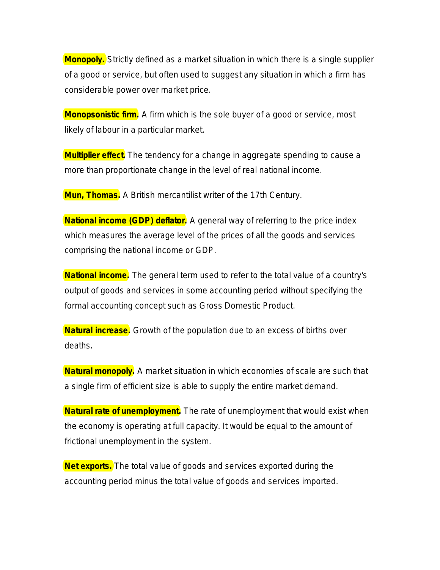**Monopoly.** Strictly defined as a market situation in which there is a single supplier of a good or service, but often used to suggest any situation in which a firm has considerable power over market price.

**Monopsonistic firm.** A firm which is the sole buyer of a good or service, most likely of labour in a particular market.

**Multiplier effect.** The tendency for a change in aggregate spending to cause a more than proportionate change in the level of real national income.

**Mun, Thomas.** A British mercantilist writer of the 17th Century.

**National income (GDP) deflator.** A general way of referring to the price index which measures the average level of the prices of all the goods and services comprising the national income or GDP.

**National income.** The general term used to refer to the total value of a country's output of goods and services in some accounting period without specifying the formal accounting concept such as Gross Domestic Product.

**Natural increase.** Growth of the population due to an excess of births over deaths.

**Natural monopoly.** A market situation in which economies of scale are such that a single firm of efficient size is able to supply the entire market demand.

**Natural rate of unemployment.** The rate of unemployment that would exist when the economy is operating at full capacity. It would be equal to the amount of frictional unemployment in the system.

**Net exports.** The total value of goods and services exported during the accounting period minus the total value of goods and services imported.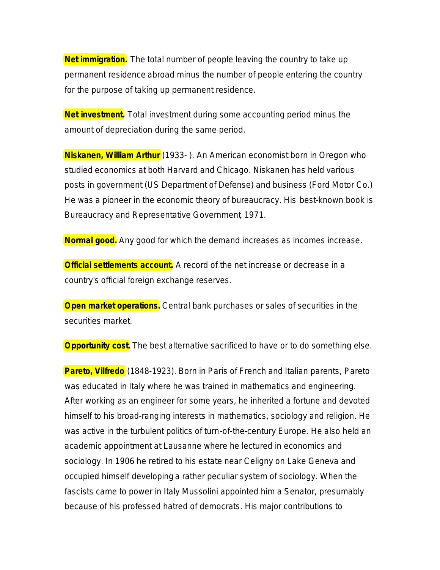**Net immigration.** The total number of people leaving the country to take up permanent residence abroad minus the number of people entering the country for the purpose of taking up permanent residence.

**Net investment.** Total investment during some accounting period minus the amount of depreciation during the same period.

**Niskanen, William Arthur** (1933- ). An American economist born in Oregon who studied economics at both Harvard and Chicago. Niskanen has held various posts in government (US Department of Defense) and business (Ford Motor Co.) He was a pioneer in the economic theory of bureaucracy. His best-known book is *Bureaucracy and Representative Government*, 1971.

**Normal good.** Any good for which the demand increases as incomes increase.

**Official settlements account.** A record of the net increase or decrease in a country's official foreign exchange reserves.

**Open market operations.** Central bank purchases or sales of securities in the securities market.

**Opportunity cost.** The best alternative sacrificed to have or to do something else.

**Pareto, Vilfredo** (1848-1923). Born in Paris of French and Italian parents, Pareto was educated in Italy where he was trained in mathematics and engineering. After working as an engineer for some years, he inherited a fortune and devoted himself to his broad-ranging interests in mathematics, sociology and religion. He was active in the turbulent politics of turn-of-the-century Europe. He also held an academic appointment at Lausanne where he lectured in economics and sociology. In 1906 he retired to his estate near Celigny on Lake Geneva and occupied himself developing a rather peculiar system of sociology. When the fascists came to power in Italy Mussolini appointed him a Senator, presumably because of his professed hatred of democrats. His major contributions to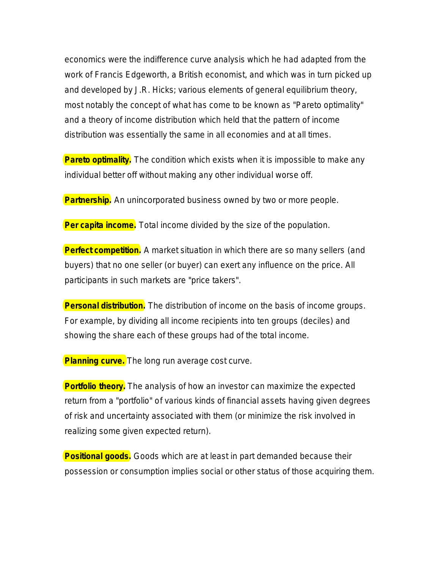economics were the indifference curve analysis which he had adapted from the work of Francis Edgeworth, a British economist, and which was in turn picked up and developed by J.R. Hicks; various elements of general equilibrium theory, most notably the concept of what has come to be known as "Pareto optimality" and a theory of income distribution which held that the pattern of income distribution was essentially the same in all economies and at all times.

**Pareto optimality.** The condition which exists when it is impossible to make any individual better off without making any other individual worse off.

**Partnership.** An unincorporated business owned by two or more people.

**Per capita income.** Total income divided by the size of the population.

**Perfect competition.** A market situation in which there are so many sellers (and buyers) that no one seller (or buyer) can exert any influence on the price. All participants in such markets are "price takers".

**Personal distribution.** The distribution of income on the basis of income groups. For example, by dividing all income recipients into ten groups (deciles) and showing the share each of these groups had of the total income.

**Planning curve.** The long run average cost curve.

**Portfolio theory.** The analysis of how an investor can maximize the expected return from a "portfolio" of various kinds of financial assets having given degrees of risk and uncertainty associated with them (or minimize the risk involved in realizing some given expected return).

**Positional goods.** Goods which are at least in part demanded because their possession or consumption implies social or other status of those acquiring them.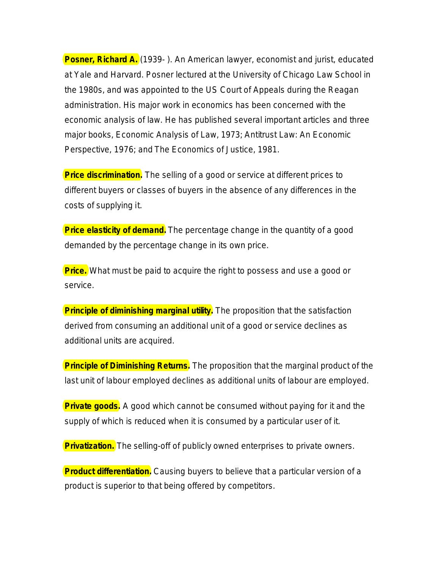**Posner, Richard A.** (1939-). An American lawyer, economist and jurist, educated at Yale and Harvard. Posner lectured at the University of Chicago Law School in the 1980s, and was appointed to the US Court of Appeals during the Reagan administration. His major work in economics has been concerned with the economic analysis of law. He has published several important articles and three major books, *Economic Analysis of Law*, 1973; *Antitrust Law: An Economic Perspective*, 1976; and *The Economics of Justice*, 1981.

**Price discrimination.** The selling of a good or service at different prices to different buyers or classes of buyers in the absence of any differences in the costs of supplying it.

**Price elasticity of demand.** The percentage change in the quantity of a good demanded by the percentage change in its own price.

**Price.** What must be paid to acquire the right to possess and use a good or service.

**Principle of diminishing marginal utility.** The proposition that the satisfaction derived from consuming an additional unit of a good or service declines as additional units are acquired.

**Principle of Diminishing Returns.** The proposition that the marginal product of the last unit of labour employed declines as additional units of labour are employed.

**Private goods.** A good which cannot be consumed without paying for it and the supply of which is reduced when it is consumed by a particular user of it.

**Privatization.** The selling-off of publicly owned enterprises to private owners.

**Product differentiation.** Causing buyers to believe that a particular version of a product is superior to that being offered by competitors.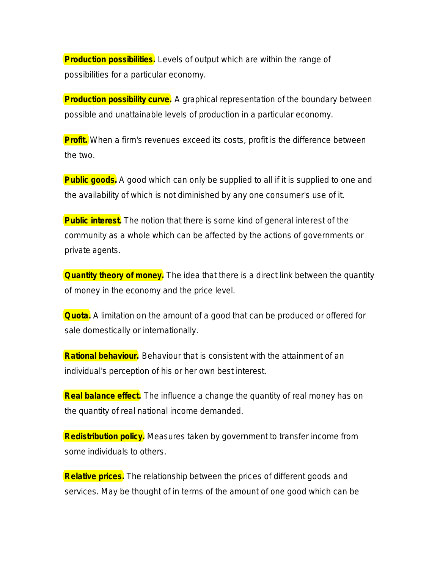**Production possibilities.** Levels of output which are within the range of possibilities for a particular economy.

**Production possibility curve.** A graphical representation of the boundary between possible and unattainable levels of production in a particular economy.

**Profit.** When a firm's revenues exceed its costs, profit is the difference between the two.

**Public goods.** A good which can only be supplied to all if it is supplied to one and the availability of which is not diminished by any one consumer's use of it.

**Public interest.** The notion that there is some kind of general interest of the community as a whole which can be affected by the actions of governments or private agents.

**Quantity theory of money.** The idea that there is a direct link between the quantity of money in the economy and the price level.

**Quota.** A limitation on the amount of a good that can be produced or offered for sale domestically or internationally.

**Rational behaviour.** Behaviour that is consistent with the attainment of an individual's perception of his or her own best interest.

**Real balance effect.** The influence a change the quantity of real money has on the quantity of real national income demanded.

**Redistribution policy.** Measures taken by government to transfer income from some individuals to others.

**Relative prices.** The relationship between the prices of different goods and services. May be thought of in terms of the amount of one good which can be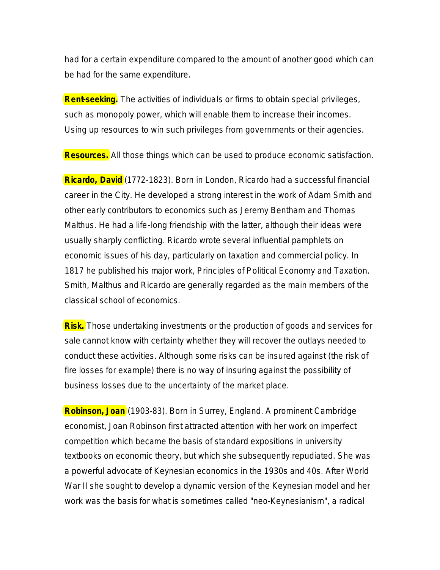had for a certain expenditure compared to the amount of another good which can be had for the same expenditure.

**Rent-seeking.** The activities of individuals or firms to obtain special privileges, such as monopoly power, which will enable them to increase their incomes. Using up resources to win such privileges from governments or their agencies.

**Resources.** All those things which can be used to produce economic satisfaction.

**Ricardo, David** (1772-1823). Born in London, Ricardo had a successful financial career in the City. He developed a strong interest in the work of Adam Smith and other early contributors to economics such as Jeremy Bentham and Thomas Malthus. He had a life-long friendship with the latter, although their ideas were usually sharply conflicting. Ricardo wrote several influential pamphlets on economic issues of his day, particularly on taxation and commercial policy. In 1817 he published his major work, *Principles of Political Economy and Taxation*. Smith, Malthus and Ricardo are generally regarded as the main members of the classical school of economics.

**Risk.** Those undertaking investments or the production of goods and services for sale cannot know with certainty whether they will recover the outlays needed to conduct these activities. Although some risks can be insured against (the risk of fire losses for example) there is no way of insuring against the possibility of business losses due to the uncertainty of the market place.

**Robinson, Joan** (1903-83). Born in Surrey, England. A prominent Cambridge economist, Joan Robinson first attracted attention with her work on imperfect competition which became the basis of standard expositions in university textbooks on economic theory, but which she subsequently repudiated. She was a powerful advocate of Keynesian economics in the 1930s and 40s. After World War II she sought to develop a dynamic version of the Keynesian model and her work was the basis for what is sometimes called "neo-Keynesianism", a radical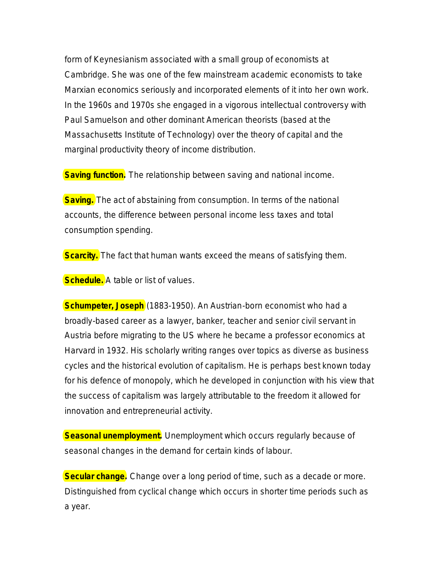form of Keynesianism associated with a small group of economists at Cambridge. She was one of the few mainstream academic economists to take Marxian economics seriously and incorporated elements of it into her own work. In the 1960s and 1970s she engaged in a vigorous intellectual controversy with Paul Samuelson and other dominant American theorists (based at the Massachusetts Institute of Technology) over the theory of capital and the marginal productivity theory of income distribution.

**Saving function.** The relationship between saving and national income.

**Saving.** The act of abstaining from consumption. In terms of the national accounts, the difference between personal income less taxes and total consumption spending.

**Scarcity.** The fact that human wants exceed the means of satisfying them.

**Schedule.** A table or list of values.

**Schumpeter, Joseph** (1883-1950). An Austrian-born economist who had a broadly-based career as a lawyer, banker, teacher and senior civil servant in Austria before migrating to the US where he became a professor economics at Harvard in 1932. His scholarly writing ranges over topics as diverse as business cycles and the historical evolution of capitalism. He is perhaps best known today for his defence of monopoly, which he developed in conjunction with his view that the success of capitalism was largely attributable to the freedom it allowed for innovation and entrepreneurial activity.

**Seasonal unemployment.** Unemployment which occurs regularly because of seasonal changes in the demand for certain kinds of labour.

**Secular change.** Change over a long period of time, such as a decade or more. Distinguished from cyclical change which occurs in shorter time periods such as a year.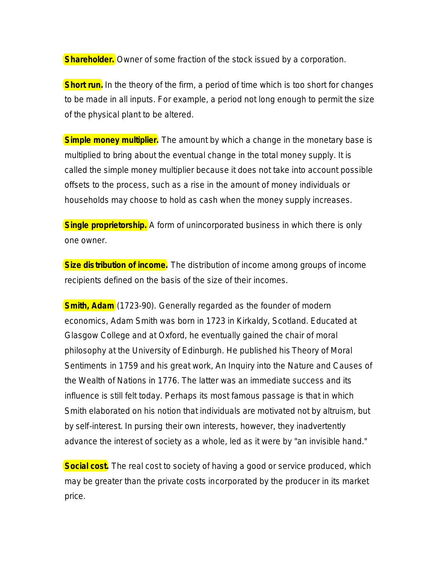**Shareholder.** Owner of some fraction of the stock issued by a corporation.

**Short run.** In the theory of the firm, a period of time which is too short for changes to be made in all inputs. For example, a period not long enough to permit the size of the physical plant to be altered.

**Simple money multiplier.** The amount by which a change in the monetary base is multiplied to bring about the eventual change in the total money supply. It is called the simple money multiplier because it does not take into account possible offsets to the process, such as a rise in the amount of money individuals or households may choose to hold as cash when the money supply increases.

**Single proprietorship.** A form of unincorporated business in which there is only one owner.

**Size distribution of income.** The distribution of income among groups of income recipients defined on the basis of the size of their incomes.

**Smith, Adam** (1723-90). Generally regarded as the founder of modern economics, Adam Smith was born in 1723 in Kirkaldy, Scotland. Educated at Glasgow College and at Oxford, he eventually gained the chair of moral philosophy at the University of Edinburgh. He published his *Theory of Moral Sentiments* in 1759 and his great work, *An Inquiry into the Nature and Causes of the Wealth of Nations* in 1776. The latter was an immediate success and its influence is still felt today. Perhaps its most famous passage is that in which Smith elaborated on his notion that individuals are motivated not by altruism, but by self-interest. In pursing their own interests, however, they inadvertently advance the interest of society as a whole, led as it were by "an invisible hand."

**Social cost.** The real cost to society of having a good or service produced, which may be greater than the private costs incorporated by the producer in its market price.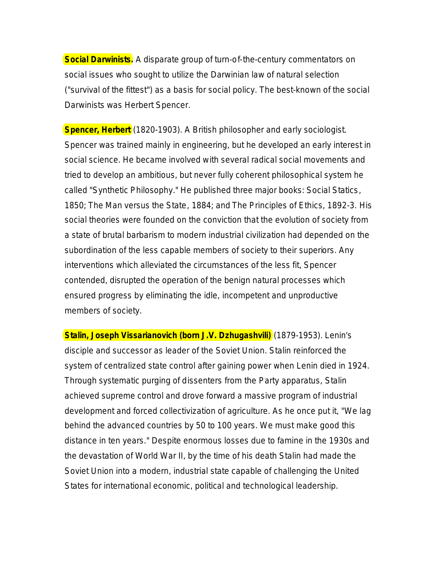**Social Darwinists.** A disparate group of turn-of-the-century commentators on social issues who sought to utilize the Darwinian law of natural selection ("survival of the fittest") as a basis for social policy. The best-known of the social Darwinists was Herbert Spencer.

**Spencer, Herbert** (1820-1903). A British philosopher and early sociologist. Spencer was trained mainly in engineering, but he developed an early interest in social science. He became involved with several radical social movements and tried to develop an ambitious, but never fully coherent philosophical system he called "Synthetic Philosophy." He published three major books: *Social Statics*, 1850; *The Man versus the State*, 1884; and *The Principles of Ethics*, 1892-3. His social theories were founded on the conviction that the evolution of society from a state of brutal barbarism to modern industrial civilization had depended on the subordination of the less capable members of society to their superiors. Any interventions which alleviated the circumstances of the less fit, Spencer contended, disrupted the operation of the benign natural processes which ensured progress by eliminating the idle, incompetent and unproductive members of society.

**Stalin, Joseph Vissarianovich (born J.V. Dzhugashvili)** (1879-1953). Lenin's disciple and successor as leader of the Soviet Union. Stalin reinforced the system of centralized state control after gaining power when Lenin died in 1924. Through systematic purging of dissenters from the Party apparatus, Stalin achieved supreme control and drove forward a massive program of industrial development and forced collectivization of agriculture. As he once put it, "We lag behind the advanced countries by 50 to 100 years. We must make good this distance in ten years." Despite enormous losses due to famine in the 1930s and the devastation of World War II, by the time of his death Stalin had made the Soviet Union into a modern, industrial state capable of challenging the United States for international economic, political and technological leadership.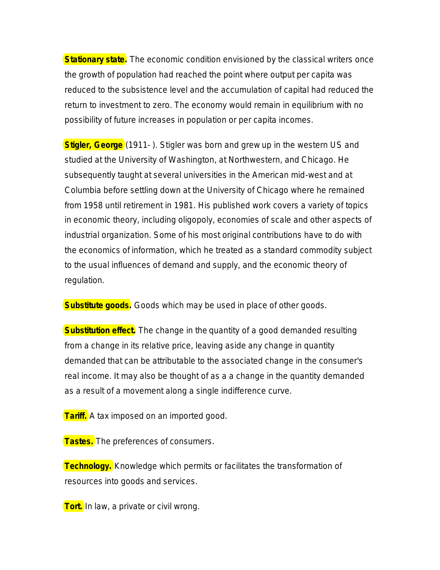**Stationary state.** The economic condition envisioned by the classical writers once the growth of population had reached the point where output per capita was reduced to the subsistence level and the accumulation of capital had reduced the return to investment to zero. The economy would remain in equilibrium with no possibility of future increases in population or per capita incomes.

**Stigler, George** (1911- ). Stigler was born and grew up in the western US and studied at the University of Washington, at Northwestern, and Chicago. He subsequently taught at several universities in the American mid-west and at Columbia before settling down at the University of Chicago where he remained from 1958 until retirement in 1981. His published work covers a variety of topics in economic theory, including oligopoly, economies of scale and other aspects of industrial organization. Some of his most original contributions have to do with the economics of information, which he treated as a standard commodity subject to the usual influences of demand and supply, and the economic theory of regulation.

**Substitute goods.** Goods which may be used in place of other goods.

**Substitution effect.** The change in the quantity of a good demanded resulting from a change in its relative price, leaving aside any change in quantity demanded that can be attributable to the associated change in the consumer's real income. It may also be thought of as a a change in the quantity demanded as a result of a movement along a single indifference curve.

**Tariff.** A tax imposed on an imported good.

**Tastes.** The preferences of consumers.

**Technology.** Knowledge which permits or facilitates the transformation of resources into goods and services.

**Tort.** In law, a private or civil wrong.